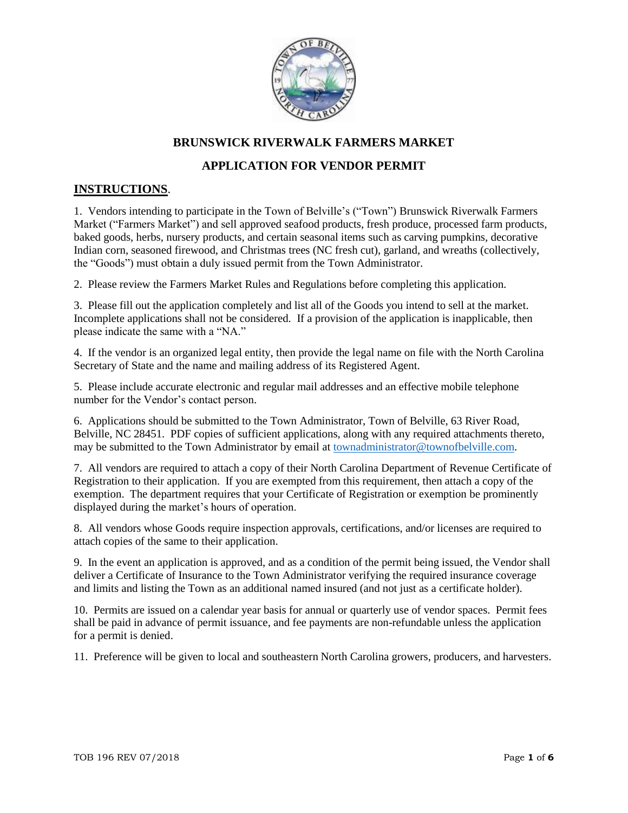

### **BRUNSWICK RIVERWALK FARMERS MARKET**

### **APPLICATION FOR VENDOR PERMIT**

#### **INSTRUCTIONS**.

1. Vendors intending to participate in the Town of Belville's ("Town") Brunswick Riverwalk Farmers Market ("Farmers Market") and sell approved seafood products, fresh produce, processed farm products, baked goods, herbs, nursery products, and certain seasonal items such as carving pumpkins, decorative Indian corn, seasoned firewood, and Christmas trees (NC fresh cut), garland, and wreaths (collectively, the "Goods") must obtain a duly issued permit from the Town Administrator.

2. Please review the Farmers Market Rules and Regulations before completing this application.

3. Please fill out the application completely and list all of the Goods you intend to sell at the market. Incomplete applications shall not be considered. If a provision of the application is inapplicable, then please indicate the same with a "NA."

4. If the vendor is an organized legal entity, then provide the legal name on file with the North Carolina Secretary of State and the name and mailing address of its Registered Agent.

5. Please include accurate electronic and regular mail addresses and an effective mobile telephone number for the Vendor's contact person.

6. Applications should be submitted to the Town Administrator, Town of Belville, 63 River Road, Belville, NC 28451. PDF copies of sufficient applications, along with any required attachments thereto, may be submitted to the Town Administrator by email at [townadministrator@townofbelville.com.](mailto:townadministrator@townofbelville.com)

7. All vendors are required to attach a copy of their North Carolina Department of Revenue Certificate of Registration to their application. If you are exempted from this requirement, then attach a copy of the exemption. The department requires that your Certificate of Registration or exemption be prominently displayed during the market's hours of operation.

8. All vendors whose Goods require inspection approvals, certifications, and/or licenses are required to attach copies of the same to their application.

9. In the event an application is approved, and as a condition of the permit being issued, the Vendor shall deliver a Certificate of Insurance to the Town Administrator verifying the required insurance coverage and limits and listing the Town as an additional named insured (and not just as a certificate holder).

10. Permits are issued on a calendar year basis for annual or quarterly use of vendor spaces. Permit fees shall be paid in advance of permit issuance, and fee payments are non-refundable unless the application for a permit is denied.

11. Preference will be given to local and southeastern North Carolina growers, producers, and harvesters.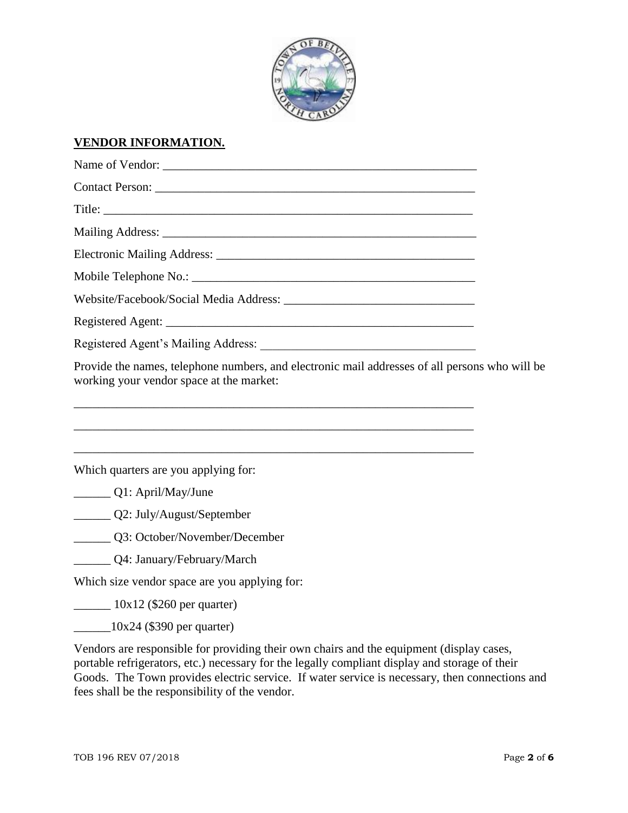

# **VENDOR INFORMATION.**

| Provide the names, telephone numbers, and electronic mail addresses of all persons who will be<br>working your vendor space at the market:<br>and the control of the control of the control of the control of the control of the control of the control of the |  |  |  |
|----------------------------------------------------------------------------------------------------------------------------------------------------------------------------------------------------------------------------------------------------------------|--|--|--|
| Which quarters are you applying for:                                                                                                                                                                                                                           |  |  |  |
| $Q1:$ April/May/June                                                                                                                                                                                                                                           |  |  |  |
| Q2: July/August/September                                                                                                                                                                                                                                      |  |  |  |
| Q3: October/November/December                                                                                                                                                                                                                                  |  |  |  |
| Q4: January/February/March                                                                                                                                                                                                                                     |  |  |  |
| Which size vendor space are you applying for:                                                                                                                                                                                                                  |  |  |  |
| $\frac{10x}{2}$ (\$260 per quarter)                                                                                                                                                                                                                            |  |  |  |
| $\frac{10x}{24}$ (\$390 per quarter)                                                                                                                                                                                                                           |  |  |  |

Vendors are responsible for providing their own chairs and the equipment (display cases, portable refrigerators, etc.) necessary for the legally compliant display and storage of their Goods. The Town provides electric service. If water service is necessary, then connections and fees shall be the responsibility of the vendor.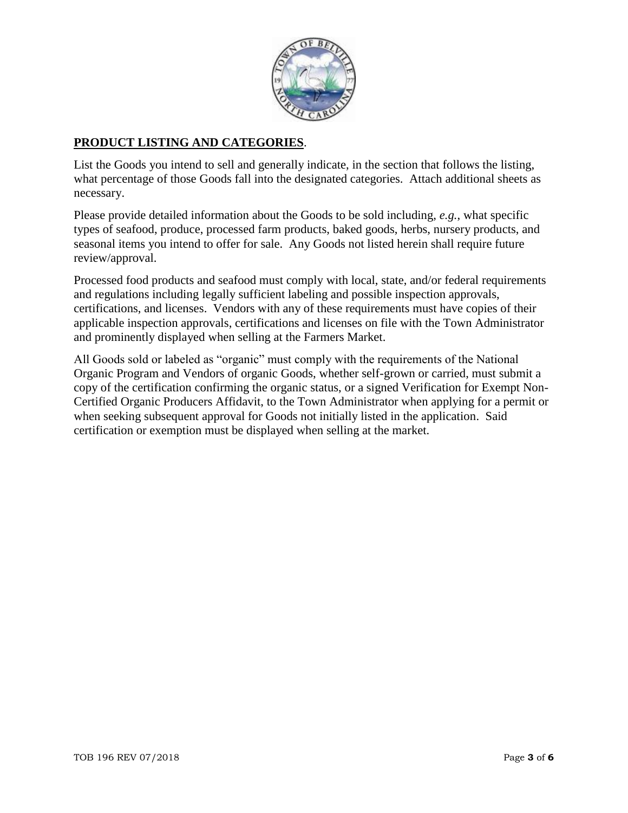

### **PRODUCT LISTING AND CATEGORIES**.

List the Goods you intend to sell and generally indicate, in the section that follows the listing, what percentage of those Goods fall into the designated categories. Attach additional sheets as necessary.

Please provide detailed information about the Goods to be sold including, *e.g.*, what specific types of seafood, produce, processed farm products, baked goods, herbs, nursery products, and seasonal items you intend to offer for sale. Any Goods not listed herein shall require future review/approval.

Processed food products and seafood must comply with local, state, and/or federal requirements and regulations including legally sufficient labeling and possible inspection approvals, certifications, and licenses. Vendors with any of these requirements must have copies of their applicable inspection approvals, certifications and licenses on file with the Town Administrator and prominently displayed when selling at the Farmers Market.

All Goods sold or labeled as "organic" must comply with the requirements of the National Organic Program and Vendors of organic Goods, whether self-grown or carried, must submit a copy of the certification confirming the organic status, or a signed Verification for Exempt Non-Certified Organic Producers Affidavit, to the Town Administrator when applying for a permit or when seeking subsequent approval for Goods not initially listed in the application. Said certification or exemption must be displayed when selling at the market.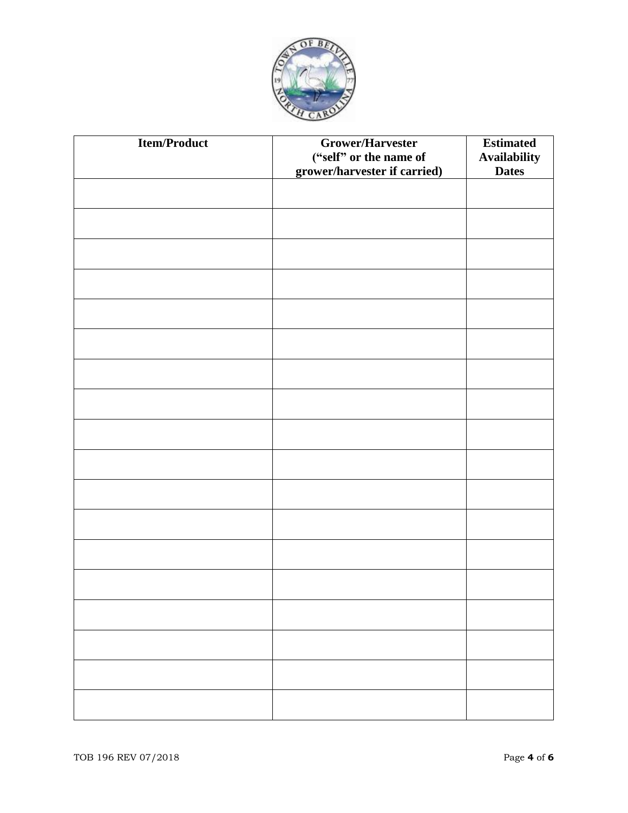

| <b>Item/Product</b> | Grower/Harvester<br>("self" or the name of<br>grower/harvester if carried) | <b>Estimated</b><br><b>Availability</b><br><b>Dates</b> |
|---------------------|----------------------------------------------------------------------------|---------------------------------------------------------|
|                     |                                                                            |                                                         |
|                     |                                                                            |                                                         |
|                     |                                                                            |                                                         |
|                     |                                                                            |                                                         |
|                     |                                                                            |                                                         |
|                     |                                                                            |                                                         |
|                     |                                                                            |                                                         |
|                     |                                                                            |                                                         |
|                     |                                                                            |                                                         |
|                     |                                                                            |                                                         |
|                     |                                                                            |                                                         |
|                     |                                                                            |                                                         |
|                     |                                                                            |                                                         |
|                     |                                                                            |                                                         |
|                     |                                                                            |                                                         |
|                     |                                                                            |                                                         |
|                     |                                                                            |                                                         |
|                     |                                                                            |                                                         |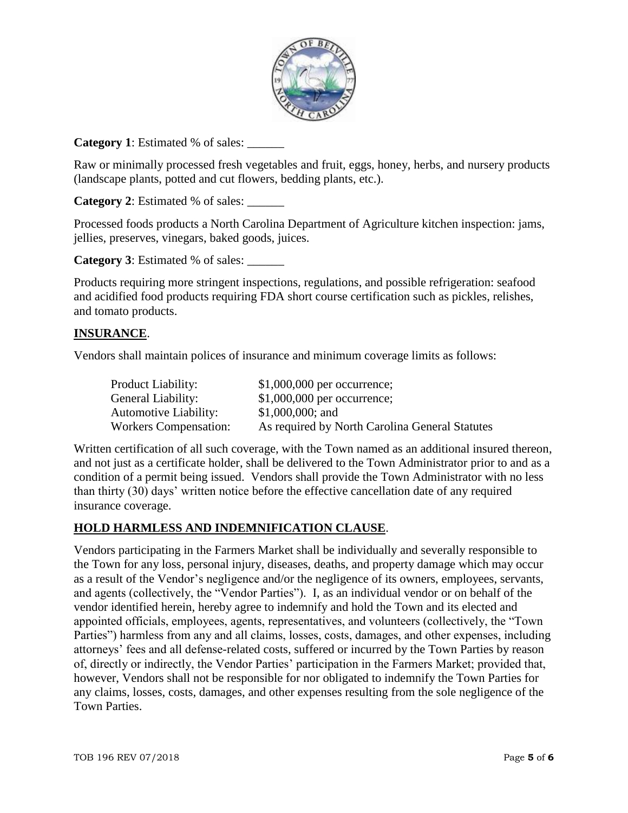

**Category 1**: Estimated % of sales:

Raw or minimally processed fresh vegetables and fruit, eggs, honey, herbs, and nursery products (landscape plants, potted and cut flowers, bedding plants, etc.).

**Category 2**: Estimated % of sales: \_\_\_\_\_\_

Processed foods products a North Carolina Department of Agriculture kitchen inspection: jams, jellies, preserves, vinegars, baked goods, juices.

**Category 3**: Estimated % of sales:

Products requiring more stringent inspections, regulations, and possible refrigeration: seafood and acidified food products requiring FDA short course certification such as pickles, relishes, and tomato products.

### **INSURANCE**.

Vendors shall maintain polices of insurance and minimum coverage limits as follows:

| <b>Product Liability:</b>    | $$1,000,000$ per occurrence;                   |
|------------------------------|------------------------------------------------|
| General Liability:           | $$1,000,000$ per occurrence;                   |
| <b>Automotive Liability:</b> | $$1,000,000;$ and                              |
| <b>Workers Compensation:</b> | As required by North Carolina General Statutes |

Written certification of all such coverage, with the Town named as an additional insured thereon, and not just as a certificate holder, shall be delivered to the Town Administrator prior to and as a condition of a permit being issued. Vendors shall provide the Town Administrator with no less than thirty (30) days' written notice before the effective cancellation date of any required insurance coverage.

## **HOLD HARMLESS AND INDEMNIFICATION CLAUSE**.

Vendors participating in the Farmers Market shall be individually and severally responsible to the Town for any loss, personal injury, diseases, deaths, and property damage which may occur as a result of the Vendor's negligence and/or the negligence of its owners, employees, servants, and agents (collectively, the "Vendor Parties"). I, as an individual vendor or on behalf of the vendor identified herein, hereby agree to indemnify and hold the Town and its elected and appointed officials, employees, agents, representatives, and volunteers (collectively, the "Town Parties") harmless from any and all claims, losses, costs, damages, and other expenses, including attorneys' fees and all defense-related costs, suffered or incurred by the Town Parties by reason of, directly or indirectly, the Vendor Parties' participation in the Farmers Market; provided that, however, Vendors shall not be responsible for nor obligated to indemnify the Town Parties for any claims, losses, costs, damages, and other expenses resulting from the sole negligence of the Town Parties.